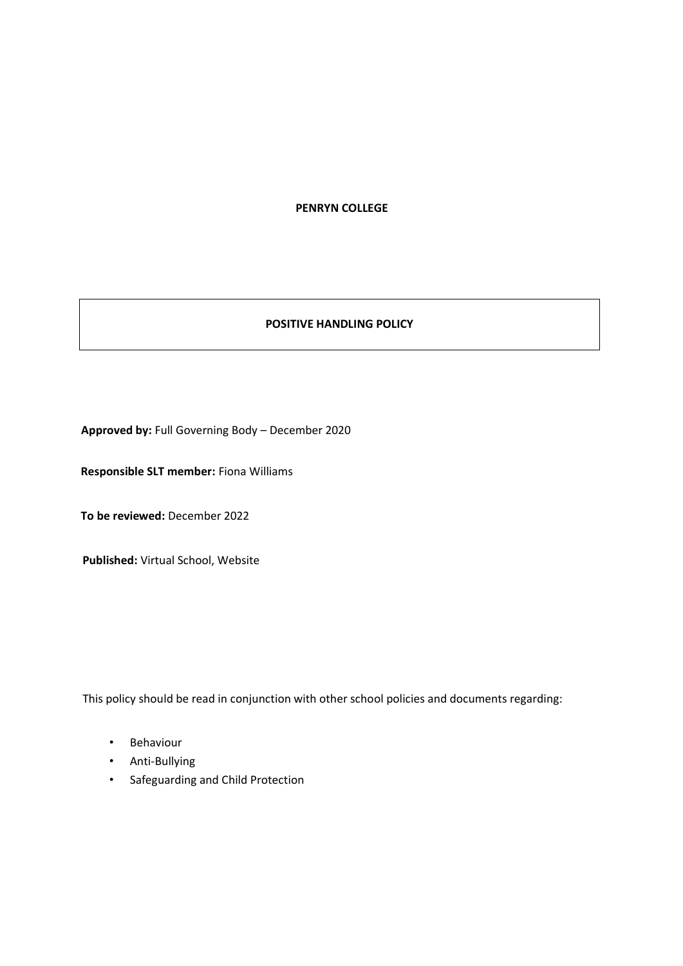**PENRYN COLLEGE**

#### **POSITIVE HANDLING POLICY**

**Approved by:** Full Governing Body – December 2020

**Responsible SLT member:** Fiona Williams

**To be reviewed:** December 2022

**Published:** Virtual School, Website

This policy should be read in conjunction with other school policies and documents regarding:

- Behaviour
- Anti-Bullying
- Safeguarding and Child Protection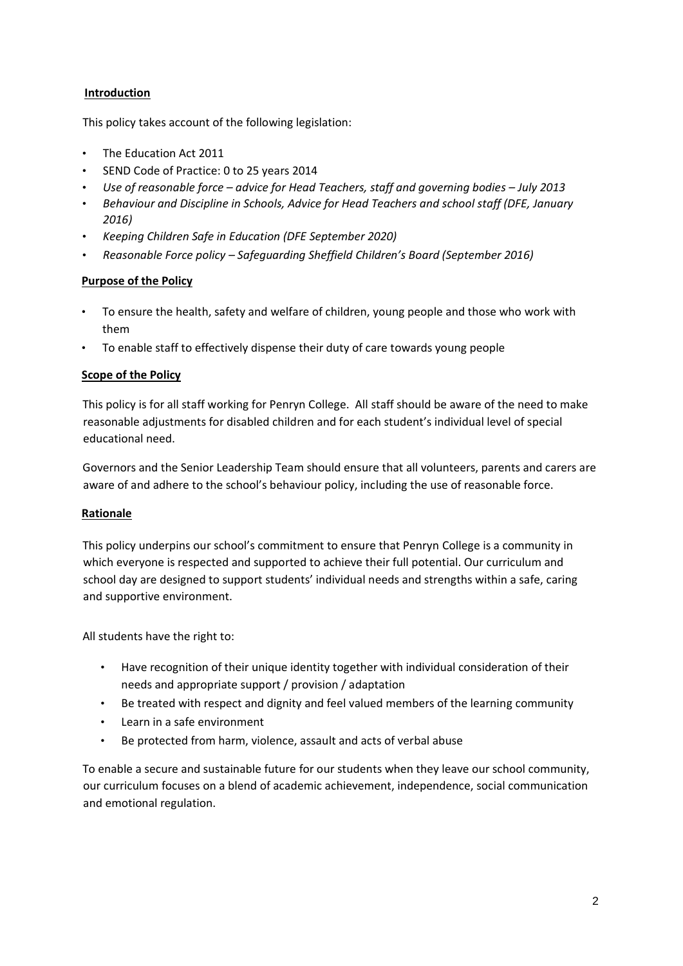## **Introduction**

This policy takes account of the following legislation:

- [The Education Act 2011](https://www.gov.uk/government/publications/the-education-act-2011-equalities-impact-assessment)
- [SEND Code of Practice: 0 to 25 years](https://www.gov.uk/government/publications/send-code-of-practice-0-to-25) [2014](https://www.gov.uk/government/publications/send-code-of-practice-0-to-25)
- *[Use of reasonable force](https://www.gov.uk/government/publications/use-of-reasonable-force-in-schools) [–](https://www.gov.uk/government/publications/use-of-reasonable-force-in-schools) [advice for Head Teachers, staff and governing bodies](https://www.gov.uk/government/publications/use-of-reasonable-force-in-schools) [–](https://www.gov.uk/government/publications/use-of-reasonable-force-in-schools) [July 2013](https://www.gov.uk/government/publications/use-of-reasonable-force-in-schools)*
- *[Behaviour and Discipline in Schools, Advice for Head Teachers and school staff \(DFE,](https://www.gov.uk/government/publications/behaviour-and-discipline-in-schools) [January](https://www.gov.uk/government/publications/behaviour-and-discipline-in-schools)  [2016\)](https://www.gov.uk/government/publications/behaviour-and-discipline-in-schools)*
- *[Keeping Children Safe in Education](https://www.gov.uk/government/consultations/keeping-children-safe-in-education) [\(DF](https://www.gov.uk/government/consultations/keeping-children-safe-in-education)E September 2020)*
- *[Reasonable Force policy](https://www.safeguardingsheffieldchildren.org.uk/dms/safe/management/corporate-communications/documents/schools/Policies-Procedures-16-17/Reasonable-Force--Sept-16/Reasonable%20Force%2C%20Sept%2016.pdf) [–](https://www.safeguardingsheffieldchildren.org.uk/dms/safe/management/corporate-communications/documents/schools/Policies-Procedures-16-17/Reasonable-Force--Sept-16/Reasonable%20Force%2C%20Sept%2016.pdf) [Safeguarding Sheffield Children's Board \(September 201](https://www.safeguardingsheffieldchildren.org.uk/dms/safe/management/corporate-communications/documents/schools/Policies-Procedures-16-17/Reasonable-Force--Sept-16/Reasonable%20Force%2C%20Sept%2016.pdf)[6\)](https://www.safeguardingsheffieldchildren.org.uk/dms/safe/management/corporate-communications/documents/schools/Policies-Procedures-16-17/Reasonable-Force--Sept-16/Reasonable%20Force%2C%20Sept%2016.pdf)*

## **Purpose of the Policy**

- To ensure the health, safety and welfare of children, young people and those who work with them
- To enable staff to effectively dispense their duty of care towards young people

## **Scope of the Policy**

This policy is for all staff working for Penryn College. All staff should be aware of the need to make reasonable adjustments for disabled children and for each student's individual level of special educational need.

Governors and the Senior Leadership Team should ensure that all volunteers, parents and carers are aware of and adhere to the school's behaviour policy, including the use of reasonable force.

## **Rationale**

This policy underpins our school's commitment to ensure that Penryn College is a community in which everyone is respected and supported to achieve their full potential. Our curriculum and school day are designed to support students' individual needs and strengths within a safe, caring and supportive environment.

All students have the right to:

- Have recognition of their unique identity together with individual consideration of their needs and appropriate support / provision / adaptation
- Be treated with respect and dignity and feel valued members of the learning community
- Learn in a safe environment
- Be protected from harm, violence, assault and acts of verbal abuse

To enable a secure and sustainable future for our students when they leave our school community, our curriculum focuses on a blend of academic achievement, independence, social communication and emotional regulation.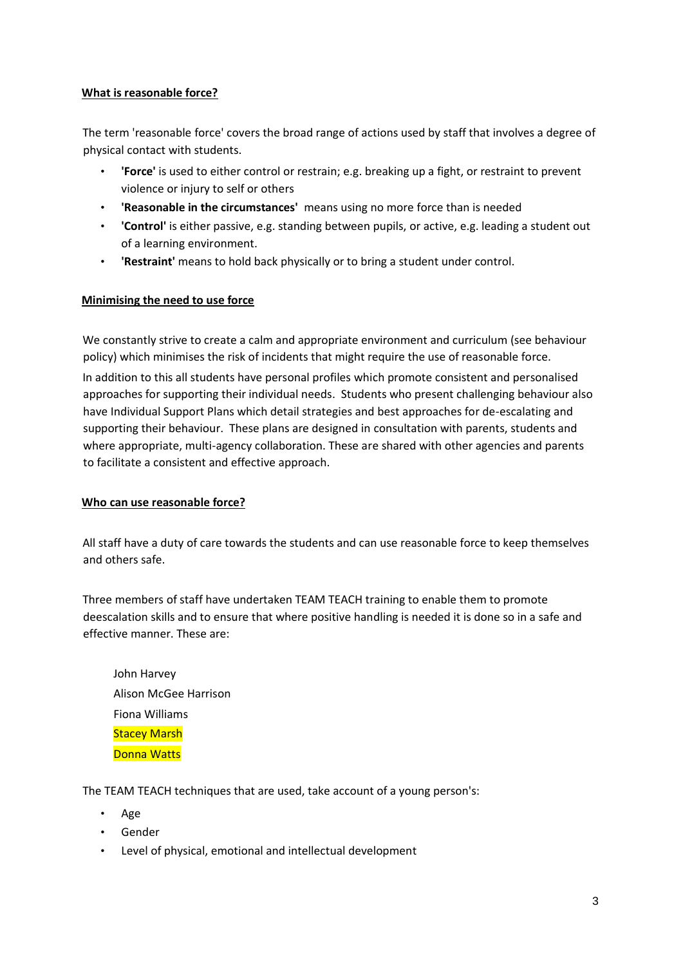### **What is reasonable force?**

The term 'reasonable force' covers the broad range of actions used by staff that involves a degree of physical contact with students.

- **'Force'** is used to either control or restrain; e.g. breaking up a fight, or restraint to prevent violence or injury to self or others
- **'Reasonable in the circumstances'** means using no more force than is needed
- **'Control'** is either passive, e.g. standing between pupils, or active, e.g. leading a student out of a learning environment.
- **'Restraint'** means to hold back physically or to bring a student under control.

#### **Minimising the need to use force**

We constantly strive to create a calm and appropriate environment and curriculum (see behaviour policy) which minimises the risk of incidents that might require the use of reasonable force. In addition to this all students have personal profiles which promote consistent and personalised approaches for supporting their individual needs. Students who present challenging behaviour also have Individual Support Plans which detail strategies and best approaches for de-escalating and supporting their behaviour. These plans are designed in consultation with parents, students and where appropriate, multi-agency collaboration. These are shared with other agencies and parents to facilitate a consistent and effective approach.

#### **Who can use reasonable force?**

All staff have a duty of care towards the students and can use reasonable force to keep themselves and others safe.

Three members of staff have undertaken TEAM TEACH training to enable them to promote deescalation skills and to ensure that where positive handling is needed it is done so in a safe and effective manner. These are:

John Harvey Alison McGee Harrison Fiona Williams **Stacey Marsh** Donna Watts

The TEAM TEACH techniques that are used, take account of a young person's:

- Age
- Gender
- Level of physical, emotional and intellectual development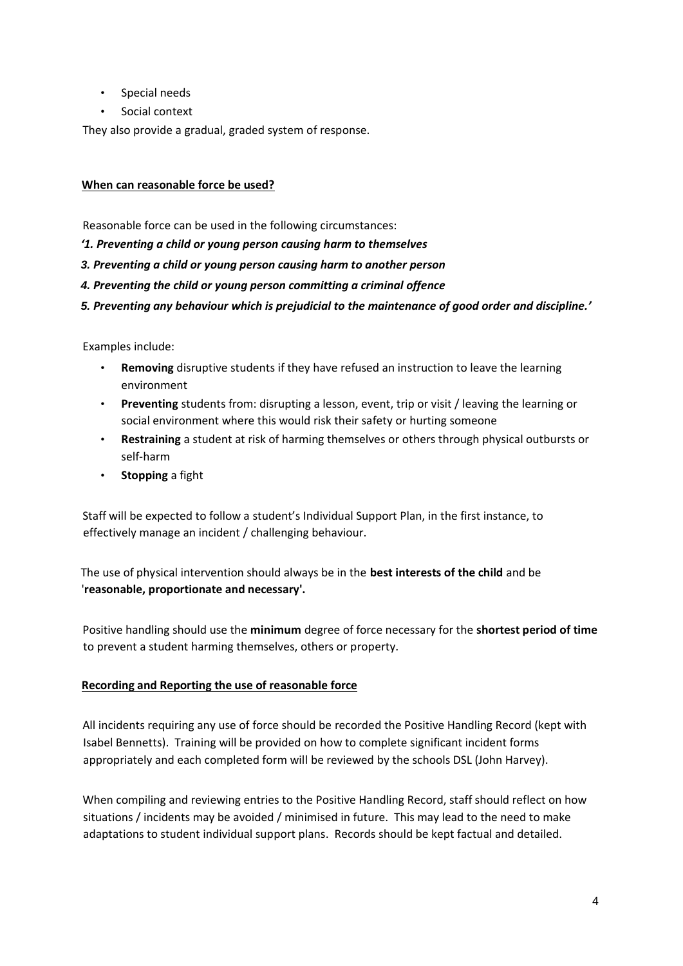- Special needs
- Social context

They also provide a gradual, graded system of response.

## **When can reasonable force be used?**

Reasonable force can be used in the following circumstances:

*'1. Preventing a child or young person causing harm to themselves* 

*3. Preventing a child or young person causing harm to another person* 

*4. Preventing the child or young person committing a criminal offence* 

*5. Preventing any behaviour which is prejudicial to the maintenance of good order and discipline.'* 

Examples include:

- **Removing** disruptive students if they have refused an instruction to leave the learning environment
- **Preventing** students from: disrupting a lesson, event, trip or visit / leaving the learning or social environment where this would risk their safety or hurting someone
- **Restraining** a student at risk of harming themselves or others through physical outbursts or self-harm
- **Stopping** a fight

Staff will be expected to follow a student's Individual Support Plan, in the first instance, to effectively manage an incident / challenging behaviour.

The use of physical intervention should always be in the **best interests of the child** and be '**reasonable, proportionate and necessary'.** 

Positive handling should use the **minimum** degree of force necessary for the **shortest period of time** to prevent a student harming themselves, others or property.

## **Recording and Reporting the use of reasonable force**

All incidents requiring any use of force should be recorded the Positive Handling Record (kept with Isabel Bennetts). Training will be provided on how to complete significant incident forms appropriately and each completed form will be reviewed by the schools DSL (John Harvey).

When compiling and reviewing entries to the Positive Handling Record, staff should reflect on how situations / incidents may be avoided / minimised in future. This may lead to the need to make adaptations to student individual support plans. Records should be kept factual and detailed.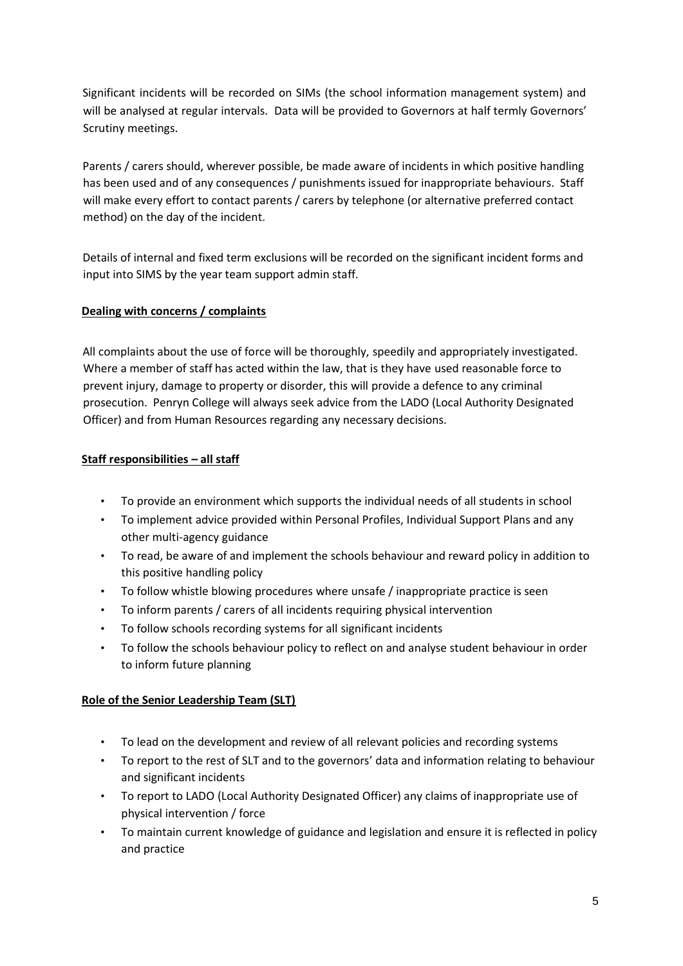Significant incidents will be recorded on SIMs (the school information management system) and will be analysed at regular intervals. Data will be provided to Governors at half termly Governors' Scrutiny meetings.

Parents / carers should, wherever possible, be made aware of incidents in which positive handling has been used and of any consequences / punishments issued for inappropriate behaviours. Staff will make every effort to contact parents / carers by telephone (or alternative preferred contact method) on the day of the incident.

Details of internal and fixed term exclusions will be recorded on the significant incident forms and input into SIMS by the year team support admin staff.

# **Dealing with concerns / complaints**

All complaints about the use of force will be thoroughly, speedily and appropriately investigated. Where a member of staff has acted within the law, that is they have used reasonable force to prevent injury, damage to property or disorder, this will provide a defence to any criminal prosecution. Penryn College will always seek advice from the LADO (Local Authority Designated Officer) and from Human Resources regarding any necessary decisions.

# **Staff responsibilities – all staff**

- To provide an environment which supports the individual needs of all students in school
- To implement advice provided within Personal Profiles, Individual Support Plans and any other multi-agency guidance
- To read, be aware of and implement the schools behaviour and reward policy in addition to this positive handling policy
- To follow whistle blowing procedures where unsafe / inappropriate practice is seen
- To inform parents / carers of all incidents requiring physical intervention
- To follow schools recording systems for all significant incidents
- To follow the schools behaviour policy to reflect on and analyse student behaviour in order to inform future planning

## **Role of the Senior Leadership Team (SLT)**

- To lead on the development and review of all relevant policies and recording systems
- To report to the rest of SLT and to the governors' data and information relating to behaviour and significant incidents
- To report to LADO (Local Authority Designated Officer) any claims of inappropriate use of physical intervention / force
- To maintain current knowledge of guidance and legislation and ensure it is reflected in policy and practice